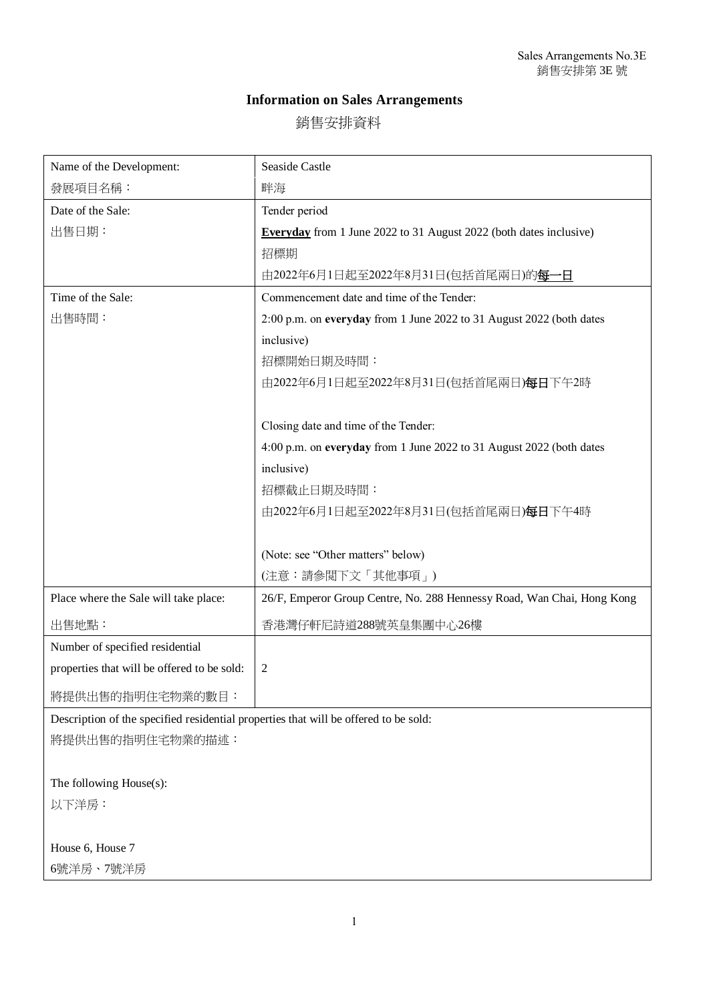## **Information on Sales Arrangements**

銷售安排資料

| 畔海                                                                                   |  |
|--------------------------------------------------------------------------------------|--|
| Tender period                                                                        |  |
| <b>Everyday</b> from 1 June 2022 to 31 August 2022 (both dates inclusive)            |  |
| 招標期                                                                                  |  |
| 由2022年6月1日起至2022年8月31日(包括首尾兩日)的每一日                                                   |  |
| Commencement date and time of the Tender:                                            |  |
| 2:00 p.m. on everyday from 1 June 2022 to 31 August 2022 (both dates                 |  |
| inclusive)                                                                           |  |
| 招標開始日期及時間:                                                                           |  |
| 由2022年6月1日起至2022年8月31日(包括首尾兩日) <b>每日</b> 下午2時                                        |  |
|                                                                                      |  |
| Closing date and time of the Tender:                                                 |  |
| 4:00 p.m. on everyday from 1 June 2022 to 31 August 2022 (both dates                 |  |
| inclusive)                                                                           |  |
| 招標截止日期及時間:                                                                           |  |
| 由2022年6月1日起至2022年8月31日(包括首尾兩日) <b>每日</b> 下午4時                                        |  |
|                                                                                      |  |
| (Note: see "Other matters" below)                                                    |  |
| (注意:請參閲下文「其他事項」)                                                                     |  |
| 26/F, Emperor Group Centre, No. 288 Hennessy Road, Wan Chai, Hong Kong               |  |
| 香港灣仔軒尼詩道288號英皇集團中心26樓                                                                |  |
|                                                                                      |  |
|                                                                                      |  |
|                                                                                      |  |
| Description of the specified residential properties that will be offered to be sold: |  |
| 將提供出售的指明住宅物業的描述:                                                                     |  |
|                                                                                      |  |
|                                                                                      |  |
|                                                                                      |  |

以下洋房:

House 6, House 7 6號洋房、7號洋房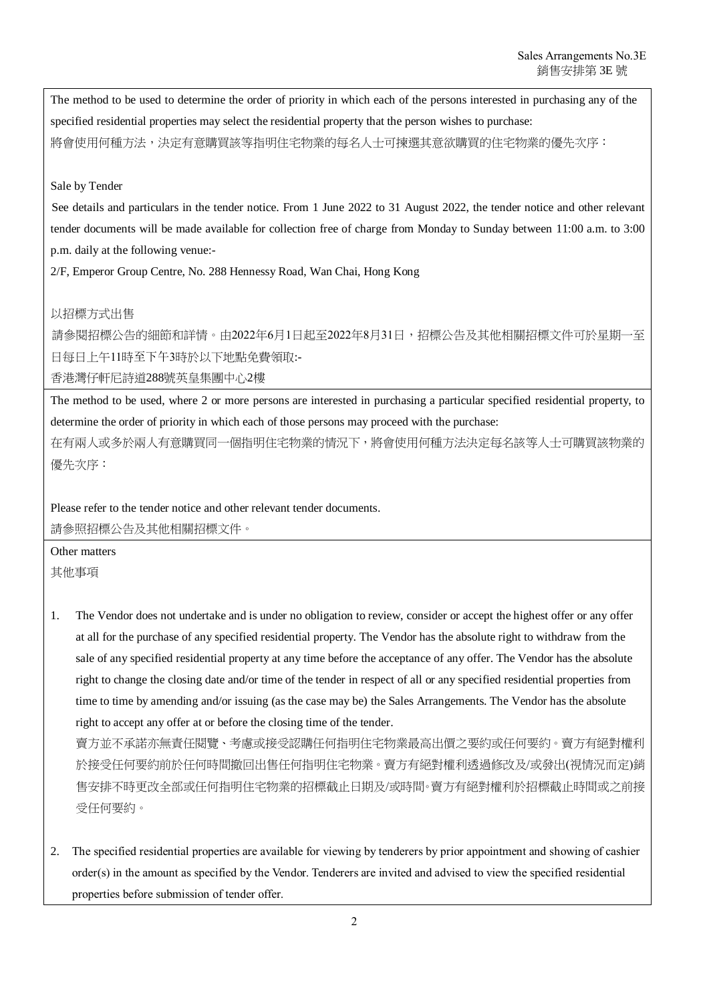The method to be used to determine the order of priority in which each of the persons interested in purchasing any of the specified residential properties may select the residential property that the person wishes to purchase: 將會使用何種方法,決定有意購買該等指明住宅物業的每名人士可揀選其意欲購買的住宅物業的優先次序:

## Sale by Tender

See details and particulars in the tender notice. From 1 June 2022 to 31 August 2022, the tender notice and other relevant tender documents will be made available for collection free of charge from Monday to Sunday between 11:00 a.m. to 3:00 p.m. daily at the following venue:-

2/F, Emperor Group Centre, No. 288 Hennessy Road, Wan Chai, Hong Kong

## 以招標方式出售

請參閱招標公告的細節和詳情。由2022年6月1日起至2022年8月31日,招標公告及其他相關招標文件可於星期一至 日每日上午11時至下午3時於以下地點免費領取:-

香港灣仔軒尼詩道288號英皇集團中心2樓

The method to be used, where 2 or more persons are interested in purchasing a particular specified residential property, to determine the order of priority in which each of those persons may proceed with the purchase:

在有兩人或多於兩人有意購買同一個指明住宅物業的情況下,將會使用何種方法決定每名該等人士可購買該物業的 優先次序:

Please refer to the tender notice and other relevant tender documents. 請參照招標公告及其他相關招標文件。

Other matters 其他事項

1. The Vendor does not undertake and is under no obligation to review, consider or accept the highest offer or any offer at all for the purchase of any specified residential property. The Vendor has the absolute right to withdraw from the sale of any specified residential property at any time before the acceptance of any offer. The Vendor has the absolute right to change the closing date and/or time of the tender in respect of all or any specified residential properties from time to time by amending and/or issuing (as the case may be) the Sales Arrangements. The Vendor has the absolute right to accept any offer at or before the closing time of the tender.

賣方並不承諾亦無責任閱覽、考慮或接受認購任何指明住宅物業最高出價之要約或任何要約。賣方有絕對權利 於接受任何要約前於任何時間撤回出售任何指明住宅物業。賣方有絕對權利透過修改及/或發出(視情況而定)銷 售安排不時更改全部或任何指明住宅物業的招標截止日期及/或時間。賣方有絕對權利於招標截止時間或之前接 受任何要約。

2. The specified residential properties are available for viewing by tenderers by prior appointment and showing of cashier order(s) in the amount as specified by the Vendor. Tenderers are invited and advised to view the specified residential properties before submission of tender offer.